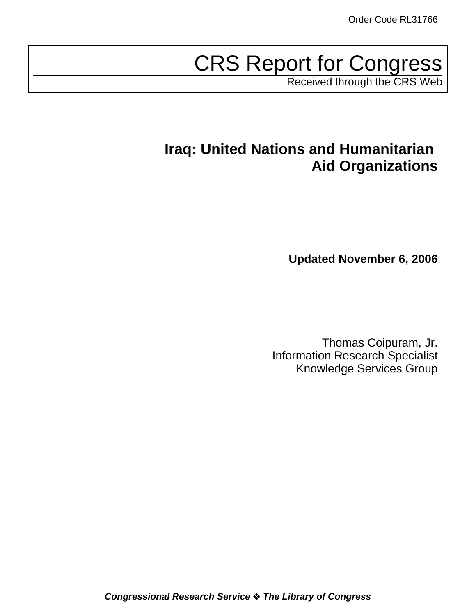# CRS Report for Congress

Received through the CRS Web

## **Iraq: United Nations and Humanitarian Aid Organizations**

**Updated November 6, 2006**

Thomas Coipuram, Jr. Information Research Specialist Knowledge Services Group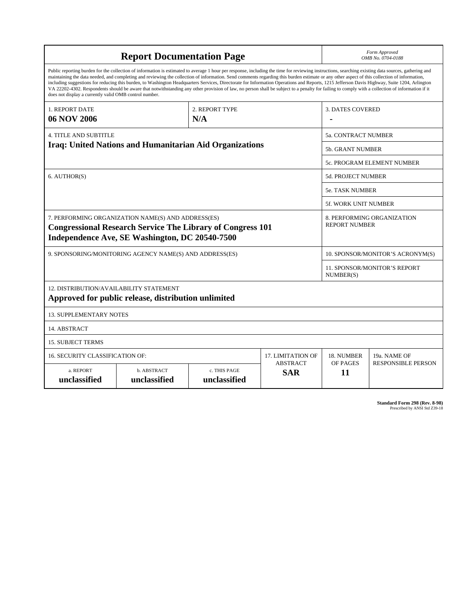| <b>Report Documentation Page</b>                                                                                                                                                                                                                                                                                                                                                                                                                                                                                                                                                                                                                                                                                                                                                                                                                                   |                             |                              |                               | Form Approved<br>OMB No. 0704-0188                 |                           |  |
|--------------------------------------------------------------------------------------------------------------------------------------------------------------------------------------------------------------------------------------------------------------------------------------------------------------------------------------------------------------------------------------------------------------------------------------------------------------------------------------------------------------------------------------------------------------------------------------------------------------------------------------------------------------------------------------------------------------------------------------------------------------------------------------------------------------------------------------------------------------------|-----------------------------|------------------------------|-------------------------------|----------------------------------------------------|---------------------------|--|
| Public reporting burden for the collection of information is estimated to average 1 hour per response, including the time for reviewing instructions, searching existing data sources, gathering and<br>maintaining the data needed, and completing and reviewing the collection of information. Send comments regarding this burden estimate or any other aspect of this collection of information,<br>including suggestions for reducing this burden, to Washington Headquarters Services, Directorate for Information Operations and Reports, 1215 Jefferson Davis Highway, Suite 1204, Arlington<br>VA 22202-4302. Respondents should be aware that notwithstanding any other provision of law, no person shall be subject to a penalty for failing to comply with a collection of information if it<br>does not display a currently valid OMB control number. |                             |                              |                               |                                                    |                           |  |
| <b>1. REPORT DATE</b><br>06 NOV 2006                                                                                                                                                                                                                                                                                                                                                                                                                                                                                                                                                                                                                                                                                                                                                                                                                               | 2. REPORT TYPE<br>N/A       |                              |                               | <b>3. DATES COVERED</b>                            |                           |  |
| <b>4. TITLE AND SUBTITLE</b>                                                                                                                                                                                                                                                                                                                                                                                                                                                                                                                                                                                                                                                                                                                                                                                                                                       |                             |                              |                               | 5a. CONTRACT NUMBER                                |                           |  |
| Iraq: United Nations and Humanitarian Aid Organizations                                                                                                                                                                                                                                                                                                                                                                                                                                                                                                                                                                                                                                                                                                                                                                                                            |                             |                              |                               | <b>5b. GRANT NUMBER</b>                            |                           |  |
|                                                                                                                                                                                                                                                                                                                                                                                                                                                                                                                                                                                                                                                                                                                                                                                                                                                                    |                             |                              |                               | 5c. PROGRAM ELEMENT NUMBER                         |                           |  |
| 6. AUTHOR(S)                                                                                                                                                                                                                                                                                                                                                                                                                                                                                                                                                                                                                                                                                                                                                                                                                                                       |                             |                              |                               | 5d. PROJECT NUMBER                                 |                           |  |
|                                                                                                                                                                                                                                                                                                                                                                                                                                                                                                                                                                                                                                                                                                                                                                                                                                                                    |                             |                              |                               | <b>5e. TASK NUMBER</b>                             |                           |  |
|                                                                                                                                                                                                                                                                                                                                                                                                                                                                                                                                                                                                                                                                                                                                                                                                                                                                    |                             |                              |                               | 5f. WORK UNIT NUMBER                               |                           |  |
| 7. PERFORMING ORGANIZATION NAME(S) AND ADDRESS(ES)<br><b>Congressional Research Service The Library of Congress 101</b><br>Independence Ave, SE Washington, DC 20540-7500                                                                                                                                                                                                                                                                                                                                                                                                                                                                                                                                                                                                                                                                                          |                             |                              |                               | 8. PERFORMING ORGANIZATION<br><b>REPORT NUMBER</b> |                           |  |
| 9. SPONSORING/MONITORING AGENCY NAME(S) AND ADDRESS(ES)                                                                                                                                                                                                                                                                                                                                                                                                                                                                                                                                                                                                                                                                                                                                                                                                            |                             |                              |                               | 10. SPONSOR/MONITOR'S ACRONYM(S)                   |                           |  |
|                                                                                                                                                                                                                                                                                                                                                                                                                                                                                                                                                                                                                                                                                                                                                                                                                                                                    |                             |                              |                               | 11. SPONSOR/MONITOR'S REPORT<br>NUMBER(S)          |                           |  |
| 12. DISTRIBUTION/AVAILABILITY STATEMENT<br>Approved for public release, distribution unlimited                                                                                                                                                                                                                                                                                                                                                                                                                                                                                                                                                                                                                                                                                                                                                                     |                             |                              |                               |                                                    |                           |  |
| <b>13. SUPPLEMENTARY NOTES</b>                                                                                                                                                                                                                                                                                                                                                                                                                                                                                                                                                                                                                                                                                                                                                                                                                                     |                             |                              |                               |                                                    |                           |  |
| 14. ABSTRACT                                                                                                                                                                                                                                                                                                                                                                                                                                                                                                                                                                                                                                                                                                                                                                                                                                                       |                             |                              |                               |                                                    |                           |  |
| <b>15. SUBJECT TERMS</b>                                                                                                                                                                                                                                                                                                                                                                                                                                                                                                                                                                                                                                                                                                                                                                                                                                           |                             |                              |                               |                                                    |                           |  |
| 16. SECURITY CLASSIFICATION OF:                                                                                                                                                                                                                                                                                                                                                                                                                                                                                                                                                                                                                                                                                                                                                                                                                                    | 17. LIMITATION OF           | 18. NUMBER                   | 19a. NAME OF                  |                                                    |                           |  |
| a. REPORT<br>unclassified                                                                                                                                                                                                                                                                                                                                                                                                                                                                                                                                                                                                                                                                                                                                                                                                                                          | b. ABSTRACT<br>unclassified | c. THIS PAGE<br>unclassified | <b>ABSTRACT</b><br><b>SAR</b> | OF PAGES<br>11                                     | <b>RESPONSIBLE PERSON</b> |  |

**Standard Form 298 (Rev. 8-98)**<br>Prescribed by ANSI Std Z39-18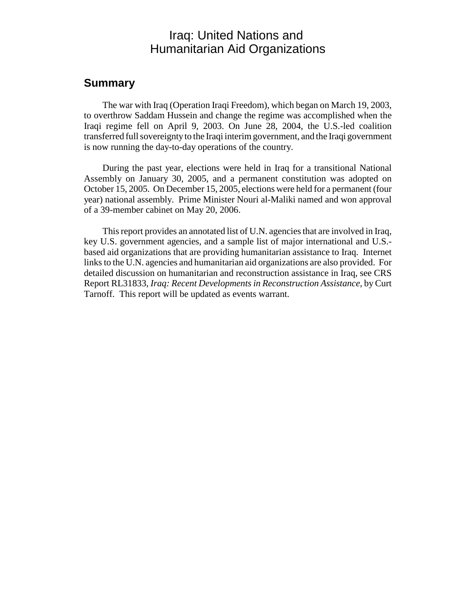## Iraq: United Nations and Humanitarian Aid Organizations

### **Summary**

The war with Iraq (Operation Iraqi Freedom), which began on March 19, 2003, to overthrow Saddam Hussein and change the regime was accomplished when the Iraqi regime fell on April 9, 2003. On June 28, 2004, the U.S.-led coalition transferred full sovereignty to the Iraqi interim government, and the Iraqi government is now running the day-to-day operations of the country.

During the past year, elections were held in Iraq for a transitional National Assembly on January 30, 2005, and a permanent constitution was adopted on October 15, 2005. On December 15, 2005, elections were held for a permanent (four year) national assembly. Prime Minister Nouri al-Maliki named and won approval of a 39-member cabinet on May 20, 2006.

This report provides an annotated list of U.N. agencies that are involved in Iraq, key U.S. government agencies, and a sample list of major international and U.S. based aid organizations that are providing humanitarian assistance to Iraq. Internet links to the U.N. agencies and humanitarian aid organizations are also provided. For detailed discussion on humanitarian and reconstruction assistance in Iraq, see CRS Report RL31833, *Iraq: Recent Developments in Reconstruction Assistance*, by Curt Tarnoff. This report will be updated as events warrant.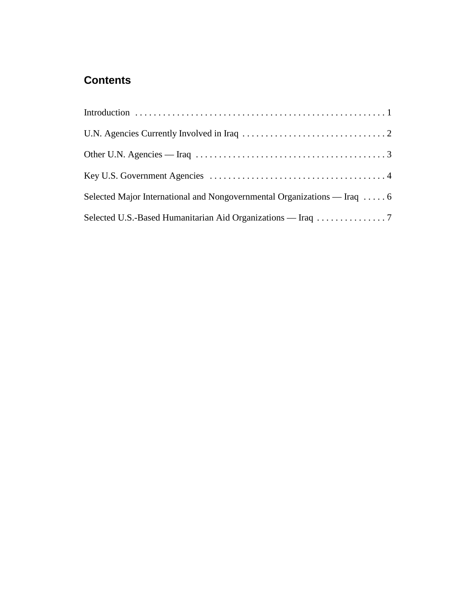## **Contents**

| Other U.N. Agencies — Iraq $\ldots \ldots \ldots \ldots \ldots \ldots \ldots \ldots \ldots \ldots \ldots \ldots \ldots$ |
|-------------------------------------------------------------------------------------------------------------------------|
|                                                                                                                         |
| Selected Major International and Nongovernmental Organizations — Iraq  6                                                |
|                                                                                                                         |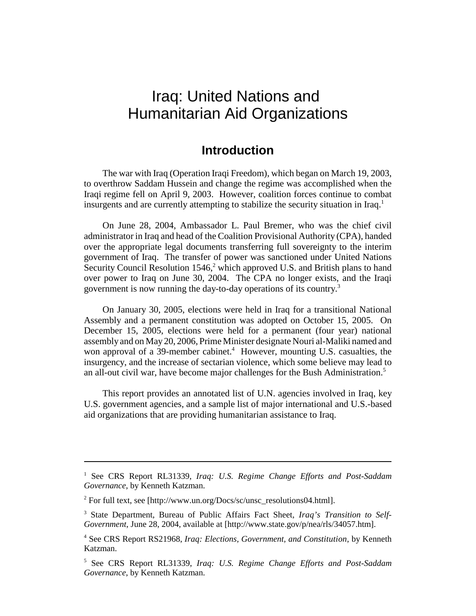## Iraq: United Nations and Humanitarian Aid Organizations

## **Introduction**

The war with Iraq (Operation Iraqi Freedom), which began on March 19, 2003, to overthrow Saddam Hussein and change the regime was accomplished when the Iraqi regime fell on April 9, 2003. However, coalition forces continue to combat insurgents and are currently attempting to stabilize the security situation in Iraq.<sup>1</sup>

On June 28, 2004, Ambassador L. Paul Bremer, who was the chief civil administrator in Iraq and head of the Coalition Provisional Authority (CPA), handed over the appropriate legal documents transferring full sovereignty to the interim government of Iraq. The transfer of power was sanctioned under United Nations Security Council Resolution 1546,<sup>2</sup> which approved U.S. and British plans to hand over power to Iraq on June 30, 2004. The CPA no longer exists, and the Iraqi government is now running the day-to-day operations of its country.<sup>3</sup>

On January 30, 2005, elections were held in Iraq for a transitional National Assembly and a permanent constitution was adopted on October 15, 2005. On December 15, 2005, elections were held for a permanent (four year) national assembly and on May 20, 2006, Prime Minister designate Nouri al-Maliki named and won approval of a 39-member cabinet.<sup>4</sup> However, mounting U.S. casualties, the insurgency, and the increase of sectarian violence, which some believe may lead to an all-out civil war, have become major challenges for the Bush Administration.<sup>5</sup>

This report provides an annotated list of U.N. agencies involved in Iraq, key U.S. government agencies, and a sample list of major international and U.S.-based aid organizations that are providing humanitarian assistance to Iraq.

<sup>&</sup>lt;sup>1</sup> See CRS Report RL31339, Iraq: U.S. Regime Change Efforts and Post-Saddam *Governance*, by Kenneth Katzman.

<sup>&</sup>lt;sup>2</sup> For full text, see [http://www.un.org/Docs/sc/unsc\_resolutions04.html].

<sup>3</sup> State Department, Bureau of Public Affairs Fact Sheet, *Iraq's Transition to Self-Government*, June 28, 2004, available at [http://www.state.gov/p/nea/rls/34057.htm].

<sup>4</sup> See CRS Report RS21968, *Iraq: Elections, Government, and Constitution*, by Kenneth Katzman.

<sup>5</sup> See CRS Report RL31339, *Iraq: U.S. Regime Change Efforts and Post-Saddam Governance*, by Kenneth Katzman.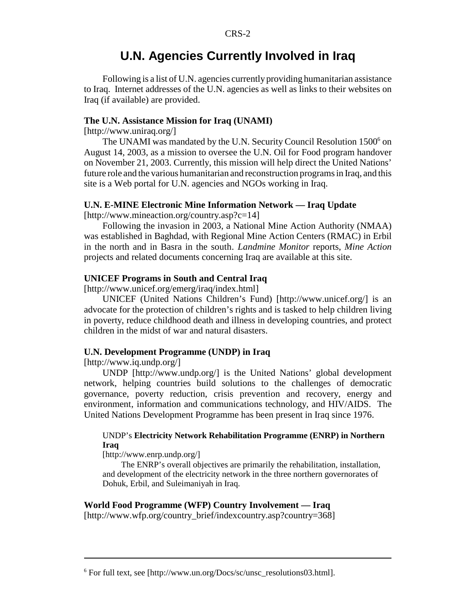## **U.N. Agencies Currently Involved in Iraq**

Following is a list of U.N. agencies currently providing humanitarian assistance to Iraq. Internet addresses of the U.N. agencies as well as links to their websites on Iraq (if available) are provided.

#### **The U.N. Assistance Mission for Iraq (UNAMI)**

[http://www.uniraq.org/]

The UNAMI was mandated by the U.N. Security Council Resolution 1500<sup>6</sup> on August 14, 2003, as a mission to oversee the U.N. Oil for Food program handover on November 21, 2003. Currently, this mission will help direct the United Nations' future role and the various humanitarian and reconstruction programs in Iraq, and this site is a Web portal for U.N. agencies and NGOs working in Iraq.

#### **U.N. E-MINE Electronic Mine Information Network — Iraq Update**

[http://www.mineaction.org/country.asp?c=14]

Following the invasion in 2003, a National Mine Action Authority (NMAA) was established in Baghdad, with Regional Mine Action Centers (RMAC) in Erbil in the north and in Basra in the south. *Landmine Monitor* reports, *Mine Action* projects and related documents concerning Iraq are available at this site.

#### **UNICEF Programs in South and Central Iraq**

[http://www.unicef.org/emerg/iraq/index.html]

UNICEF (United Nations Children's Fund) [http://www.unicef.org/] is an advocate for the protection of children's rights and is tasked to help children living in poverty, reduce childhood death and illness in developing countries, and protect children in the midst of war and natural disasters.

#### **U.N. Development Programme (UNDP) in Iraq**

[http://www.iq.undp.org/]

UNDP [http://www.undp.org/] is the United Nations' global development network, helping countries build solutions to the challenges of democratic governance, poverty reduction, crisis prevention and recovery, energy and environment, information and communications technology, and HIV/AIDS. The United Nations Development Programme has been present in Iraq since 1976.

#### UNDP's **Electricity Network Rehabilitation Programme (ENRP) in Northern Iraq**

[http://www.enrp.undp.org/]

The ENRP's overall objectives are primarily the rehabilitation, installation, and development of the electricity network in the three northern governorates of Dohuk, Erbil, and Suleimaniyah in Iraq.

### **World Food Programme (WFP) Country Involvement — Iraq**

[http://www.wfp.org/country\_brief/indexcountry.asp?country=368]

<sup>&</sup>lt;sup>6</sup> For full text, see [http://www.un.org/Docs/sc/unsc\_resolutions03.html].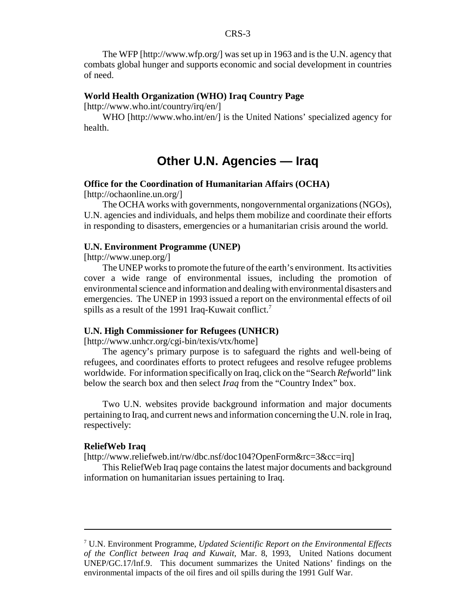The WFP [http://www.wfp.org/] was set up in 1963 and is the U.N. agency that combats global hunger and supports economic and social development in countries of need.

#### **World Health Organization (WHO) Iraq Country Page**

[http://www.who.int/country/irq/en/]

WHO [http://www.who.int/en/] is the United Nations' specialized agency for health.

## **Other U.N. Agencies — Iraq**

#### **Office for the Coordination of Humanitarian Affairs (OCHA)**

[http://ochaonline.un.org/]

The OCHA works with governments, nongovernmental organizations (NGOs), U.N. agencies and individuals, and helps them mobilize and coordinate their efforts in responding to disasters, emergencies or a humanitarian crisis around the world.

#### **U.N. Environment Programme (UNEP)**

[http://www.unep.org/]

The UNEP works to promote the future of the earth's environment. Its activities cover a wide range of environmental issues, including the promotion of environmental science and information and dealing with environmental disasters and emergencies. The UNEP in 1993 issued a report on the environmental effects of oil spills as a result of the 1991 Iraq-Kuwait conflict.<sup>7</sup>

#### **U.N. High Commissioner for Refugees (UNHCR)**

[http://www.unhcr.org/cgi-bin/texis/vtx/home]

The agency's primary purpose is to safeguard the rights and well-being of refugees, and coordinates efforts to protect refugees and resolve refugee problems worldwide. For information specifically on Iraq, click on the "Search *Ref*world" link below the search box and then select *Iraq* from the "Country Index" box.

Two U.N. websites provide background information and major documents pertaining to Iraq, and current news and information concerning the U.N. role in Iraq, respectively:

#### **ReliefWeb Iraq**

[http://www.reliefweb.int/rw/dbc.nsf/doc104?OpenForm&rc=3&cc=irq]

This ReliefWeb Iraq page contains the latest major documents and background information on humanitarian issues pertaining to Iraq.

<sup>7</sup> U.N. Environment Programme, *Updated Scientific Report on the Environmental Effects of the Conflict between Iraq and Kuwait*, Mar. 8, 1993, United Nations document UNEP/GC.17/lnf.9. This document summarizes the United Nations' findings on the environmental impacts of the oil fires and oil spills during the 1991 Gulf War.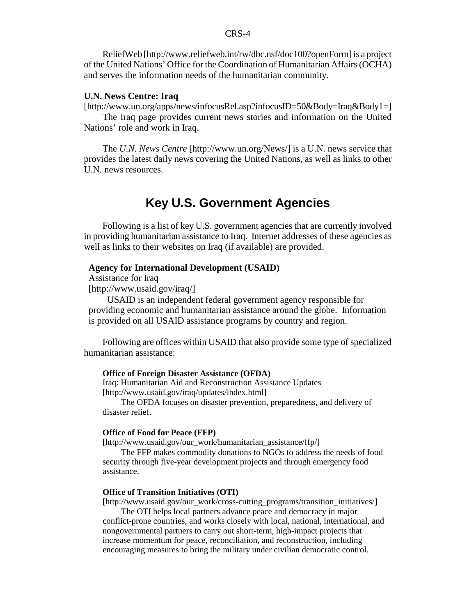#### CRS-4

ReliefWeb [http://www.reliefweb.int/rw/dbc.nsf/doc100?openForm] is a project of the United Nations' Office for the Coordination of Humanitarian Affairs (OCHA) and serves the information needs of the humanitarian community.

#### **U.N. News Centre: Iraq**

[http://www.un.org/apps/news/infocusRel.asp?infocusID=50&Body=Iraq&Body1=] The Iraq page provides current news stories and information on the United

Nations' role and work in Iraq.

The *U.N. News Centre* [http://www.un.org/News/] is a U.N. news service that provides the latest daily news covering the United Nations, as well as links to other U.N. news resources.

## **Key U.S. Government Agencies**

Following is a list of key U.S. government agencies that are currently involved in providing humanitarian assistance to Iraq. Internet addresses of these agencies as well as links to their websites on Iraq (if available) are provided.

#### **Agency for International Development (USAID)**

Assistance for Iraq

[http://www.usaid.gov/iraq/]

USAID is an independent federal government agency responsible for providing economic and humanitarian assistance around the globe. Information is provided on all USAID assistance programs by country and region.

Following are offices within USAID that also provide some type of specialized humanitarian assistance:

#### **Office of Foreign Disaster Assistance (OFDA)**

Iraq: Humanitarian Aid and Reconstruction Assistance Updates [http://www.usaid.gov/iraq/updates/index.html]

The OFDA focuses on disaster prevention, preparedness, and delivery of disaster relief.

#### **Office of Food for Peace (FFP)**

[http://www.usaid.gov/our\_work/humanitarian\_assistance/ffp/]

The FFP makes commodity donations to NGOs to address the needs of food security through five-year development projects and through emergency food assistance.

#### **Office of Transition Initiatives (OTI)**

[http://www.usaid.gov/our\_work/cross-cutting\_programs/transition\_initiatives/]

The OTI helps local partners advance peace and democracy in major conflict-prone countries, and works closely with local, national, international, and nongovernmental partners to carry out short-term, high-impact projects that increase momentum for peace, reconciliation, and reconstruction, including encouraging measures to bring the military under civilian democratic control.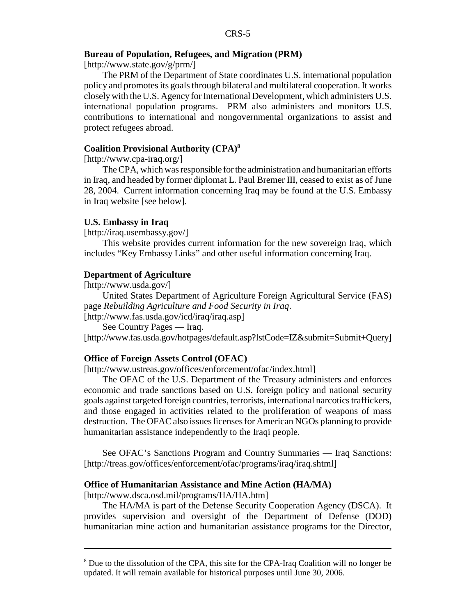#### **Bureau of Population, Refugees, and Migration (PRM)**

[http://www.state.gov/g/prm/]

The PRM of the Department of State coordinates U.S. international population policy and promotes its goals through bilateral and multilateral cooperation. It works closely with the U.S. Agency for International Development, which administers U.S. international population programs. PRM also administers and monitors U.S. contributions to international and nongovernmental organizations to assist and protect refugees abroad.

#### **Coalition Provisional Authority (CPA)8**

[http://www.cpa-iraq.org/]

The CPA, which was responsible for the administration and humanitarian efforts in Iraq, and headed by former diplomat L. Paul Bremer III, ceased to exist as of June 28, 2004. Current information concerning Iraq may be found at the U.S. Embassy in Iraq website [see below].

#### **U.S. Embassy in Iraq**

[http://iraq.usembassy.gov/]

This website provides current information for the new sovereign Iraq, which includes "Key Embassy Links" and other useful information concerning Iraq.

#### **Department of Agriculture**

[http://www.usda.gov/]

United States Department of Agriculture Foreign Agricultural Service (FAS) page *Rebuilding Agriculture and Food Security in Iraq*. [http://www.fas.usda.gov/icd/iraq/iraq.asp]

See Country Pages — Iraq.

[http://www.fas.usda.gov/hotpages/default.asp?lstCode=IZ&submit=Submit+Query]

#### **Office of Foreign Assets Control (OFAC)**

[http://www.ustreas.gov/offices/enforcement/ofac/index.html]

The OFAC of the U.S. Department of the Treasury administers and enforces economic and trade sanctions based on U.S. foreign policy and national security goals against targeted foreign countries, terrorists, international narcotics traffickers, and those engaged in activities related to the proliferation of weapons of mass destruction. The OFAC also issues licenses for American NGOs planning to provide humanitarian assistance independently to the Iraqi people.

See OFAC's Sanctions Program and Country Summaries — Iraq Sanctions: [http://treas.gov/offices/enforcement/ofac/programs/iraq/iraq.shtml]

#### **Office of Humanitarian Assistance and Mine Action (HA/MA)**

[http://www.dsca.osd.mil/programs/HA/HA.htm]

The HA/MA is part of the Defense Security Cooperation Agency (DSCA). It provides supervision and oversight of the Department of Defense (DOD) humanitarian mine action and humanitarian assistance programs for the Director,

<sup>&</sup>lt;sup>8</sup> Due to the dissolution of the CPA, this site for the CPA-Iraq Coalition will no longer be updated. It will remain available for historical purposes until June 30, 2006.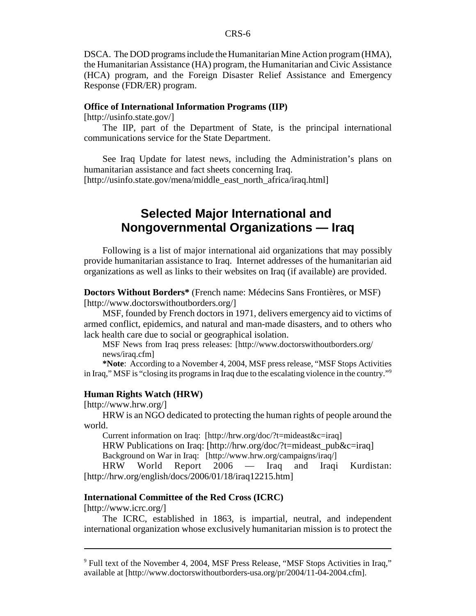DSCA. The DOD programs include the Humanitarian Mine Action program (HMA), the Humanitarian Assistance (HA) program, the Humanitarian and Civic Assistance (HCA) program, and the Foreign Disaster Relief Assistance and Emergency Response (FDR/ER) program.

#### **Office of International Information Programs (IIP)**

[http://usinfo.state.gov/]

The IIP, part of the Department of State, is the principal international communications service for the State Department.

See Iraq Update for latest news, including the Administration's plans on humanitarian assistance and fact sheets concerning Iraq. [http://usinfo.state.gov/mena/middle\_east\_north\_africa/iraq.html]

## **Selected Major International and Nongovernmental Organizations — Iraq**

Following is a list of major international aid organizations that may possibly provide humanitarian assistance to Iraq. Internet addresses of the humanitarian aid organizations as well as links to their websites on Iraq (if available) are provided.

**Doctors Without Borders\*** (French name: Médecins Sans Frontières, or MSF) [http://www.doctorswithoutborders.org/]

MSF, founded by French doctors in 1971, delivers emergency aid to victims of armed conflict, epidemics, and natural and man-made disasters, and to others who lack health care due to social or geographical isolation.

MSF News from Iraq press releases: [http://www.doctorswithoutborders.org/ news/iraq.cfm]

**\*Note**: According to a November 4, 2004, MSF press release, "MSF Stops Activities in Iraq," MSF is "closing its programs in Iraq due to the escalating violence in the country."9

#### **Human Rights Watch (HRW)**

[http://www.hrw.org/]

HRW is an NGO dedicated to protecting the human rights of people around the world.

Current information on Iraq: [http://hrw.org/doc/?t=mideast&c=iraq] HRW Publications on Iraq: [http://hrw.org/doc/?t=mideast\_pub&c=iraq]

Background on War in Iraq: [http://www.hrw.org/campaigns/iraq/]

HRW World Report 2006 — Iraq and Iraqi Kurdistan: [http://hrw.org/english/docs/2006/01/18/iraq12215.htm]

#### **International Committee of the Red Cross (ICRC)**

[http://www.icrc.org/]

The ICRC, established in 1863, is impartial, neutral, and independent international organization whose exclusively humanitarian mission is to protect the

<sup>&</sup>lt;sup>9</sup> Full text of the November 4, 2004, MSF Press Release, "MSF Stops Activities in Iraq," available at [http://www.doctorswithoutborders-usa.org/pr/2004/11-04-2004.cfm].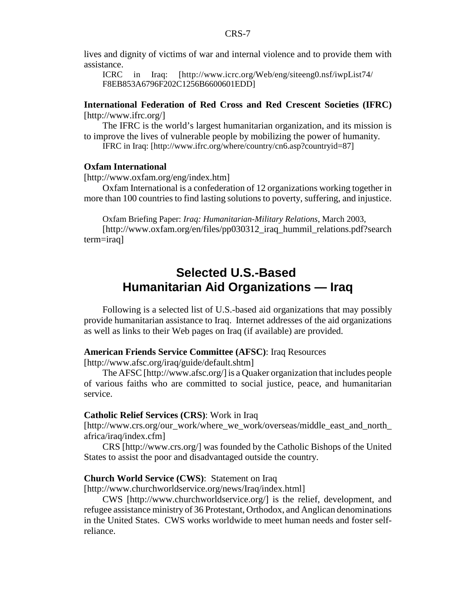lives and dignity of victims of war and internal violence and to provide them with assistance.

ICRC in Iraq: [http://www.icrc.org/Web/eng/siteeng0.nsf/iwpList74/ F8EB853A6796F202C1256B6600601EDD]

**International Federation of Red Cross and Red Crescent Societies (IFRC)** [http://www.ifrc.org/]

The IFRC is the world's largest humanitarian organization, and its mission is to improve the lives of vulnerable people by mobilizing the power of humanity.

IFRC in Iraq: [http://www.ifrc.org/where/country/cn6.asp?countryid=87]

#### **Oxfam International**

[http://www.oxfam.org/eng/index.htm]

Oxfam International is a confederation of 12 organizations working together in more than 100 countries to find lasting solutions to poverty, suffering, and injustice.

Oxfam Briefing Paper: *Iraq: Humanitarian-Military Relations*, March 2003, [http://www.oxfam.org/en/files/pp030312\_iraq\_hummil\_relations.pdf?search term=iraq]

## **Selected U.S.-Based Humanitarian Aid Organizations — Iraq**

Following is a selected list of U.S.-based aid organizations that may possibly provide humanitarian assistance to Iraq. Internet addresses of the aid organizations as well as links to their Web pages on Iraq (if available) are provided.

#### **American Friends Service Committee (AFSC)**: Iraq Resources

[http://www.afsc.org/iraq/guide/default.shtm]

The AFSC [http://www.afsc.org/] is a Quaker organization that includes people of various faiths who are committed to social justice, peace, and humanitarian service.

#### **Catholic Relief Services (CRS)**: Work in Iraq

[http://www.crs.org/our\_work/where\_we\_work/overseas/middle\_east\_and\_north\_ africa/iraq/index.cfm]

CRS [http://www.crs.org/] was founded by the Catholic Bishops of the United States to assist the poor and disadvantaged outside the country.

#### **Church World Service (CWS)**: Statement on Iraq

[http://www.churchworldservice.org/news/Iraq/index.html]

CWS [http://www.churchworldservice.org/] is the relief, development, and refugee assistance ministry of 36 Protestant, Orthodox, and Anglican denominations in the United States. CWS works worldwide to meet human needs and foster selfreliance.